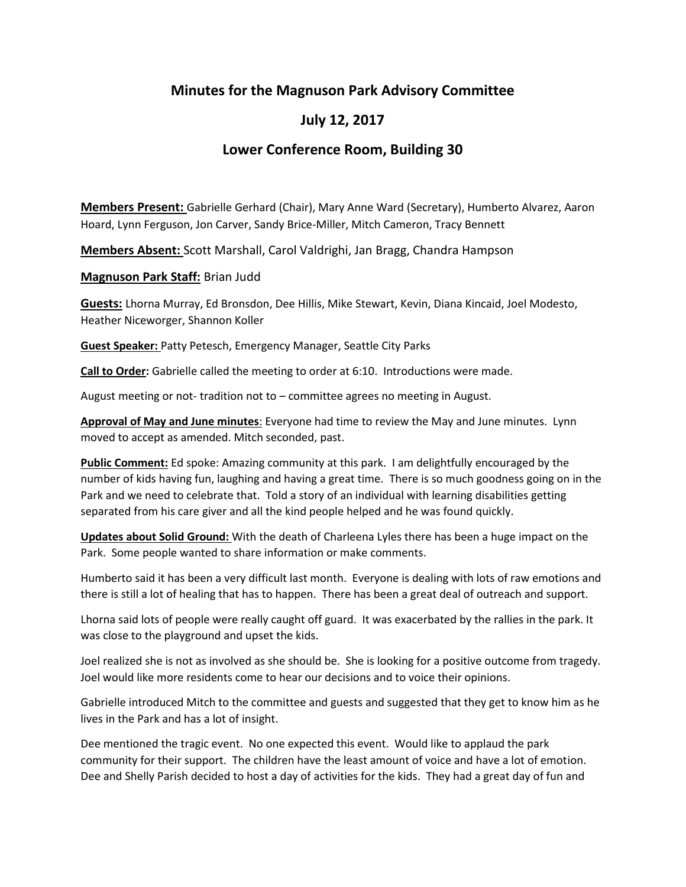## **Minutes for the Magnuson Park Advisory Committee**

## **July 12, 2017**

## **Lower Conference Room, Building 30**

**Members Present:** Gabrielle Gerhard (Chair), Mary Anne Ward (Secretary), Humberto Alvarez, Aaron Hoard, Lynn Ferguson, Jon Carver, Sandy Brice-Miller, Mitch Cameron, Tracy Bennett

**Members Absent:** Scott Marshall, Carol Valdrighi, Jan Bragg, Chandra Hampson

**Magnuson Park Staff:** Brian Judd

**Guests:** Lhorna Murray, Ed Bronsdon, Dee Hillis, Mike Stewart, Kevin, Diana Kincaid, Joel Modesto, Heather Niceworger, Shannon Koller

**Guest Speaker:** Patty Petesch, Emergency Manager, Seattle City Parks

**Call to Order:** Gabrielle called the meeting to order at 6:10. Introductions were made.

August meeting or not- tradition not to – committee agrees no meeting in August.

**Approval of May and June minutes**: Everyone had time to review the May and June minutes. Lynn moved to accept as amended. Mitch seconded, past.

**Public Comment:** Ed spoke: Amazing community at this park. I am delightfully encouraged by the number of kids having fun, laughing and having a great time. There is so much goodness going on in the Park and we need to celebrate that. Told a story of an individual with learning disabilities getting separated from his care giver and all the kind people helped and he was found quickly.

**Updates about Solid Ground:** With the death of Charleena Lyles there has been a huge impact on the Park. Some people wanted to share information or make comments.

Humberto said it has been a very difficult last month. Everyone is dealing with lots of raw emotions and there is still a lot of healing that has to happen. There has been a great deal of outreach and support.

Lhorna said lots of people were really caught off guard. It was exacerbated by the rallies in the park. It was close to the playground and upset the kids.

Joel realized she is not as involved as she should be. She is looking for a positive outcome from tragedy. Joel would like more residents come to hear our decisions and to voice their opinions.

Gabrielle introduced Mitch to the committee and guests and suggested that they get to know him as he lives in the Park and has a lot of insight.

Dee mentioned the tragic event. No one expected this event. Would like to applaud the park community for their support. The children have the least amount of voice and have a lot of emotion. Dee and Shelly Parish decided to host a day of activities for the kids. They had a great day of fun and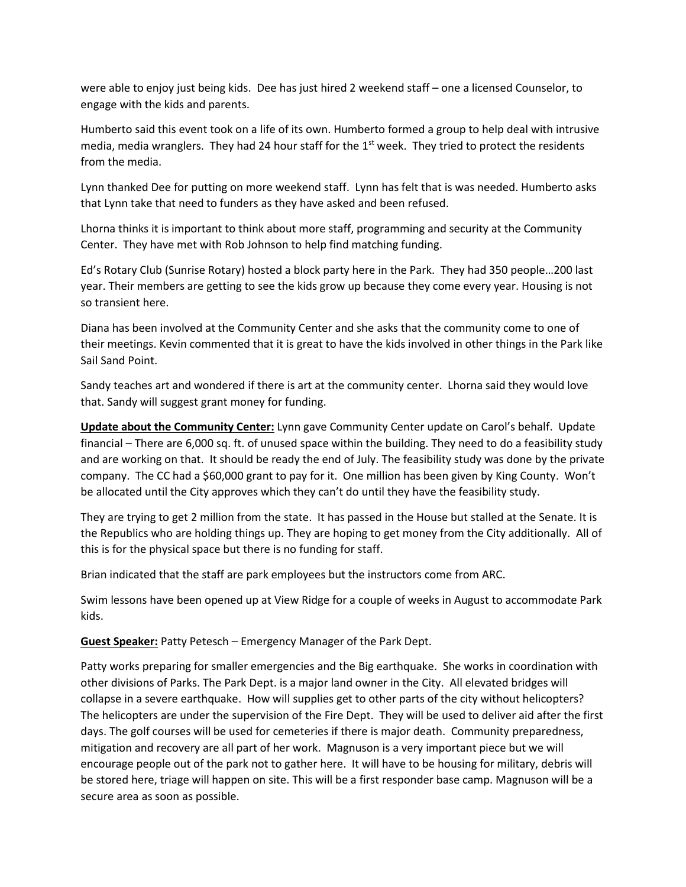were able to enjoy just being kids. Dee has just hired 2 weekend staff – one a licensed Counselor, to engage with the kids and parents.

Humberto said this event took on a life of its own. Humberto formed a group to help deal with intrusive media, media wranglers. They had 24 hour staff for the  $1<sup>st</sup>$  week. They tried to protect the residents from the media.

Lynn thanked Dee for putting on more weekend staff. Lynn has felt that is was needed. Humberto asks that Lynn take that need to funders as they have asked and been refused.

Lhorna thinks it is important to think about more staff, programming and security at the Community Center. They have met with Rob Johnson to help find matching funding.

Ed's Rotary Club (Sunrise Rotary) hosted a block party here in the Park. They had 350 people…200 last year. Their members are getting to see the kids grow up because they come every year. Housing is not so transient here.

Diana has been involved at the Community Center and she asks that the community come to one of their meetings. Kevin commented that it is great to have the kids involved in other things in the Park like Sail Sand Point.

Sandy teaches art and wondered if there is art at the community center. Lhorna said they would love that. Sandy will suggest grant money for funding.

**Update about the Community Center:** Lynn gave Community Center update on Carol's behalf. Update financial – There are 6,000 sq. ft. of unused space within the building. They need to do a feasibility study and are working on that. It should be ready the end of July. The feasibility study was done by the private company. The CC had a \$60,000 grant to pay for it. One million has been given by King County. Won't be allocated until the City approves which they can't do until they have the feasibility study.

They are trying to get 2 million from the state. It has passed in the House but stalled at the Senate. It is the Republics who are holding things up. They are hoping to get money from the City additionally. All of this is for the physical space but there is no funding for staff.

Brian indicated that the staff are park employees but the instructors come from ARC.

Swim lessons have been opened up at View Ridge for a couple of weeks in August to accommodate Park kids.

**Guest Speaker:** Patty Petesch – Emergency Manager of the Park Dept.

Patty works preparing for smaller emergencies and the Big earthquake. She works in coordination with other divisions of Parks. The Park Dept. is a major land owner in the City. All elevated bridges will collapse in a severe earthquake. How will supplies get to other parts of the city without helicopters? The helicopters are under the supervision of the Fire Dept. They will be used to deliver aid after the first days. The golf courses will be used for cemeteries if there is major death. Community preparedness, mitigation and recovery are all part of her work. Magnuson is a very important piece but we will encourage people out of the park not to gather here. It will have to be housing for military, debris will be stored here, triage will happen on site. This will be a first responder base camp. Magnuson will be a secure area as soon as possible.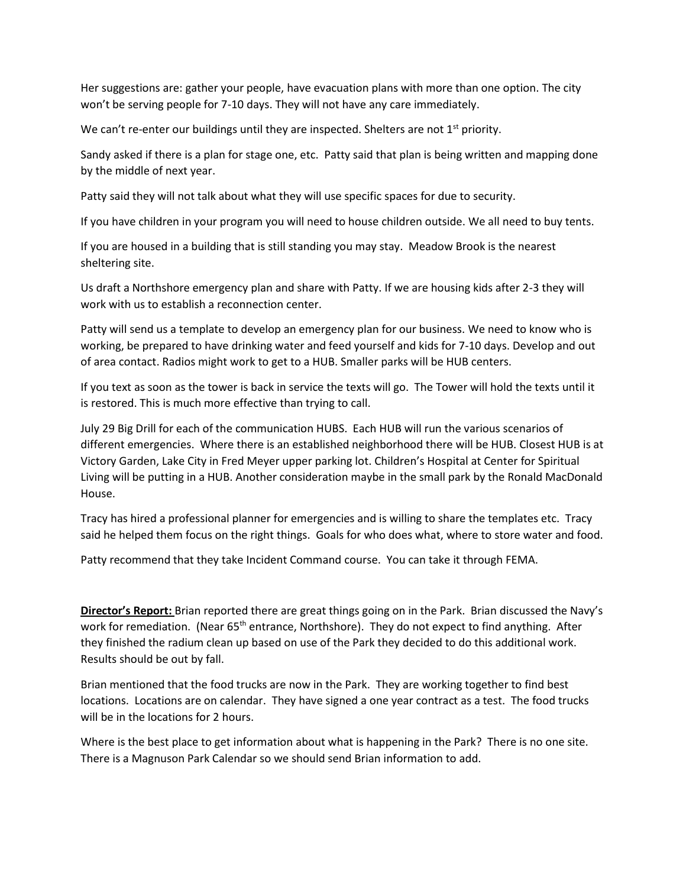Her suggestions are: gather your people, have evacuation plans with more than one option. The city won't be serving people for 7-10 days. They will not have any care immediately.

We can't re-enter our buildings until they are inspected. Shelters are not  $1<sup>st</sup>$  priority.

Sandy asked if there is a plan for stage one, etc. Patty said that plan is being written and mapping done by the middle of next year.

Patty said they will not talk about what they will use specific spaces for due to security.

If you have children in your program you will need to house children outside. We all need to buy tents.

If you are housed in a building that is still standing you may stay. Meadow Brook is the nearest sheltering site.

Us draft a Northshore emergency plan and share with Patty. If we are housing kids after 2-3 they will work with us to establish a reconnection center.

Patty will send us a template to develop an emergency plan for our business. We need to know who is working, be prepared to have drinking water and feed yourself and kids for 7-10 days. Develop and out of area contact. Radios might work to get to a HUB. Smaller parks will be HUB centers.

If you text as soon as the tower is back in service the texts will go. The Tower will hold the texts until it is restored. This is much more effective than trying to call.

July 29 Big Drill for each of the communication HUBS. Each HUB will run the various scenarios of different emergencies. Where there is an established neighborhood there will be HUB. Closest HUB is at Victory Garden, Lake City in Fred Meyer upper parking lot. Children's Hospital at Center for Spiritual Living will be putting in a HUB. Another consideration maybe in the small park by the Ronald MacDonald House.

Tracy has hired a professional planner for emergencies and is willing to share the templates etc. Tracy said he helped them focus on the right things. Goals for who does what, where to store water and food.

Patty recommend that they take Incident Command course. You can take it through FEMA.

**Director's Report:** Brian reported there are great things going on in the Park. Brian discussed the Navy's work for remediation. (Near 65<sup>th</sup> entrance, Northshore). They do not expect to find anything. After they finished the radium clean up based on use of the Park they decided to do this additional work. Results should be out by fall.

Brian mentioned that the food trucks are now in the Park. They are working together to find best locations. Locations are on calendar. They have signed a one year contract as a test. The food trucks will be in the locations for 2 hours.

Where is the best place to get information about what is happening in the Park? There is no one site. There is a Magnuson Park Calendar so we should send Brian information to add.